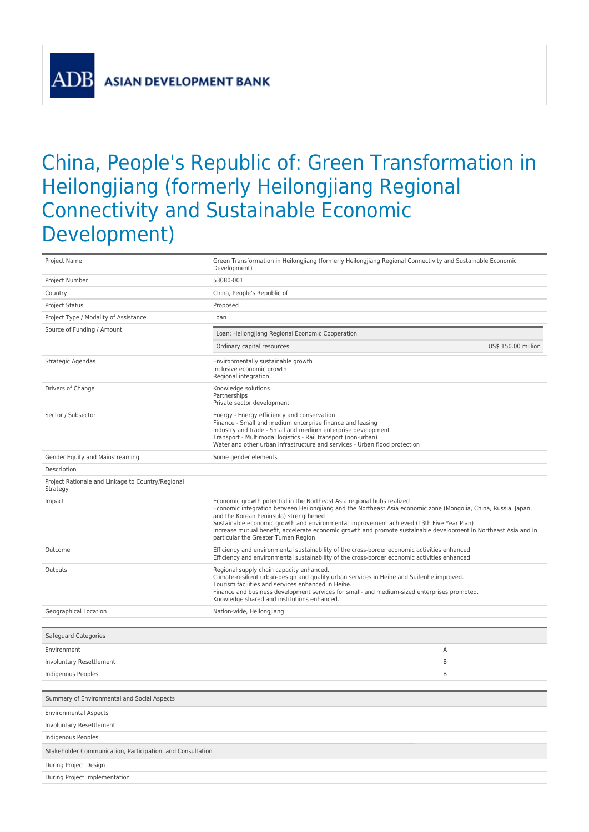**ASIAN DEVELOPMENT BANK** 

## China, People's Republic of: Green Transformation in Heilongjiang (formerly Heilongjiang Regional Connectivity and Sustainable Economic Development)

| Project Name                                                  | Green Transformation in Heilongjiang (formerly Heilongjiang Regional Connectivity and Sustainable Economic<br>Development)                                                                                                                                                                                                                                                                                                                                                                 |
|---------------------------------------------------------------|--------------------------------------------------------------------------------------------------------------------------------------------------------------------------------------------------------------------------------------------------------------------------------------------------------------------------------------------------------------------------------------------------------------------------------------------------------------------------------------------|
| Project Number                                                | 53080-001                                                                                                                                                                                                                                                                                                                                                                                                                                                                                  |
| Country                                                       | China, People's Republic of                                                                                                                                                                                                                                                                                                                                                                                                                                                                |
| <b>Project Status</b>                                         | Proposed                                                                                                                                                                                                                                                                                                                                                                                                                                                                                   |
| Project Type / Modality of Assistance                         | Loan                                                                                                                                                                                                                                                                                                                                                                                                                                                                                       |
| Source of Funding / Amount                                    | Loan: Heilongjiang Regional Economic Cooperation                                                                                                                                                                                                                                                                                                                                                                                                                                           |
|                                                               | Ordinary capital resources<br>US\$ 150.00 million                                                                                                                                                                                                                                                                                                                                                                                                                                          |
| Strategic Agendas                                             | Environmentally sustainable growth<br>Inclusive economic growth<br>Regional integration                                                                                                                                                                                                                                                                                                                                                                                                    |
| Drivers of Change                                             | Knowledge solutions<br>Partnerships<br>Private sector development                                                                                                                                                                                                                                                                                                                                                                                                                          |
| Sector / Subsector                                            | Energy - Energy efficiency and conservation<br>Finance - Small and medium enterprise finance and leasing<br>Industry and trade - Small and medium enterprise development<br>Transport - Multimodal logistics - Rail transport (non-urban)<br>Water and other urban infrastructure and services - Urban flood protection                                                                                                                                                                    |
| Gender Equity and Mainstreaming                               | Some gender elements                                                                                                                                                                                                                                                                                                                                                                                                                                                                       |
| Description                                                   |                                                                                                                                                                                                                                                                                                                                                                                                                                                                                            |
| Project Rationale and Linkage to Country/Regional<br>Strategy |                                                                                                                                                                                                                                                                                                                                                                                                                                                                                            |
| Impact                                                        | Economic growth potential in the Northeast Asia regional hubs realized<br>Economic integration between Heilongjiang and the Northeast Asia economic zone (Mongolia, China, Russia, Japan,<br>and the Korean Peninsula) strengthened<br>Sustainable economic growth and environmental improvement achieved (13th Five Year Plan)<br>Increase mutual benefit, accelerate economic growth and promote sustainable development in Northeast Asia and in<br>particular the Greater Tumen Region |
| Outcome                                                       | Efficiency and environmental sustainability of the cross-border economic activities enhanced<br>Efficiency and environmental sustainability of the cross-border economic activities enhanced                                                                                                                                                                                                                                                                                               |
| Outputs                                                       | Regional supply chain capacity enhanced.<br>Climate-resilient urban-design and quality urban services in Heihe and Suifenhe improved.<br>Tourism facilities and services enhanced in Heihe.<br>Finance and business development services for small- and medium-sized enterprises promoted.<br>Knowledge shared and institutions enhanced.                                                                                                                                                  |
| Geographical Location                                         | Nation-wide, Heilongjiang                                                                                                                                                                                                                                                                                                                                                                                                                                                                  |
|                                                               |                                                                                                                                                                                                                                                                                                                                                                                                                                                                                            |
| Safeguard Categories                                          |                                                                                                                                                                                                                                                                                                                                                                                                                                                                                            |
| Environment                                                   | Α                                                                                                                                                                                                                                                                                                                                                                                                                                                                                          |
| Involuntary Resettlement                                      | B                                                                                                                                                                                                                                                                                                                                                                                                                                                                                          |
| Indigenous Peoples                                            | B                                                                                                                                                                                                                                                                                                                                                                                                                                                                                          |
| Summary of Environmental and Social Aspects                   |                                                                                                                                                                                                                                                                                                                                                                                                                                                                                            |
| <b>Environmental Aspects</b>                                  |                                                                                                                                                                                                                                                                                                                                                                                                                                                                                            |
| Involuntary Resettlement                                      |                                                                                                                                                                                                                                                                                                                                                                                                                                                                                            |
| Indigenous Peoples                                            |                                                                                                                                                                                                                                                                                                                                                                                                                                                                                            |
| Stakeholder Communication, Participation, and Consultation    |                                                                                                                                                                                                                                                                                                                                                                                                                                                                                            |
| During Project Design                                         |                                                                                                                                                                                                                                                                                                                                                                                                                                                                                            |
| During Project Implementation                                 |                                                                                                                                                                                                                                                                                                                                                                                                                                                                                            |
|                                                               |                                                                                                                                                                                                                                                                                                                                                                                                                                                                                            |